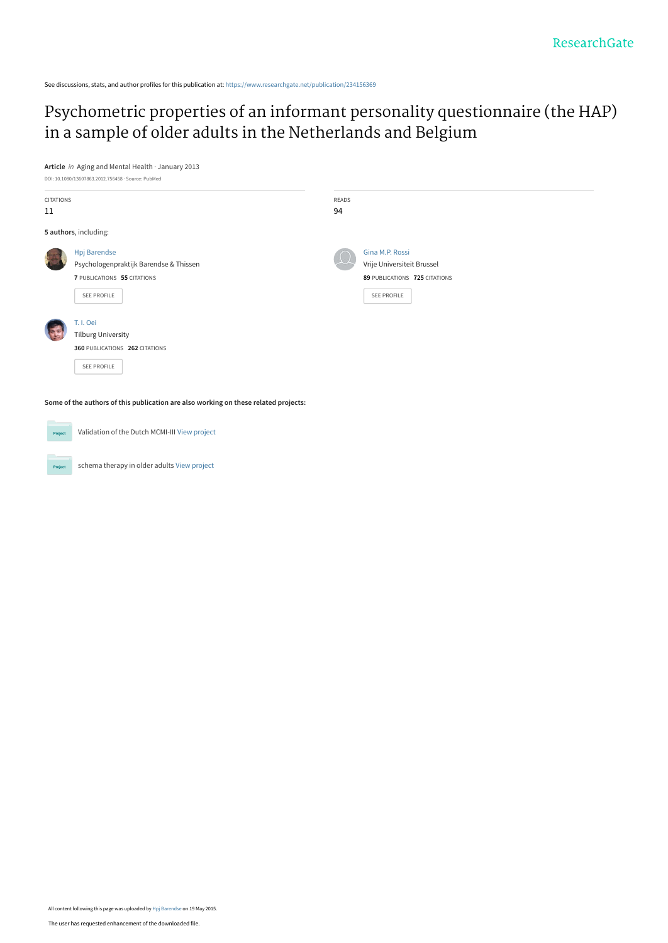See discussions, stats, and author profiles for this publication at: [https://www.researchgate.net/publication/234156369](https://www.researchgate.net/publication/234156369_Psychometric_properties_of_an_informant_personality_questionnaire_the_HAP_in_a_sample_of_older_adults_in_the_Netherlands_and_Belgium?enrichId=rgreq-5df1c6d5896ab7a9fdab0b4a705b0756-XXX&enrichSource=Y292ZXJQYWdlOzIzNDE1NjM2OTtBUzoyMzA5MjQ0MzY2MzU2NDlAMTQzMjA2ODA4NDgxMg%3D%3D&el=1_x_2&_esc=publicationCoverPdf)

[Psychometric properties of an informant personality questionnaire \(the HAP\)](https://www.researchgate.net/publication/234156369_Psychometric_properties_of_an_informant_personality_questionnaire_the_HAP_in_a_sample_of_older_adults_in_the_Netherlands_and_Belgium?enrichId=rgreq-5df1c6d5896ab7a9fdab0b4a705b0756-XXX&enrichSource=Y292ZXJQYWdlOzIzNDE1NjM2OTtBUzoyMzA5MjQ0MzY2MzU2NDlAMTQzMjA2ODA4NDgxMg%3D%3D&el=1_x_3&_esc=publicationCoverPdf) in a sample of older adults in the Netherlands and Belgium

**Article** in Aging and Mental Health · January 2013



Validation of the Dutch MCMI-III [View project](https://www.researchgate.net/project/Validation-of-the-Dutch-MCMI-III?enrichId=rgreq-5df1c6d5896ab7a9fdab0b4a705b0756-XXX&enrichSource=Y292ZXJQYWdlOzIzNDE1NjM2OTtBUzoyMzA5MjQ0MzY2MzU2NDlAMTQzMjA2ODA4NDgxMg%3D%3D&el=1_x_9&_esc=publicationCoverPdf)  $Pro$ 

Project

schema therapy in older adults [View project](https://www.researchgate.net/project/schema-therapy-in-older-adults?enrichId=rgreq-5df1c6d5896ab7a9fdab0b4a705b0756-XXX&enrichSource=Y292ZXJQYWdlOzIzNDE1NjM2OTtBUzoyMzA5MjQ0MzY2MzU2NDlAMTQzMjA2ODA4NDgxMg%3D%3D&el=1_x_9&_esc=publicationCoverPdf)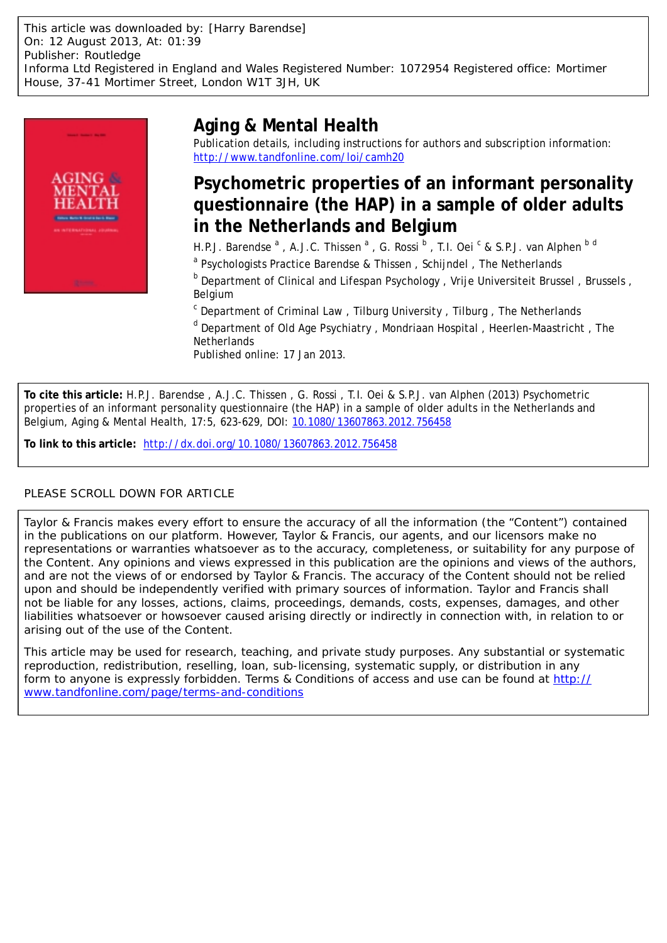This article was downloaded by: [Harry Barendse] On: 12 August 2013, At: 01:39 Publisher: Routledge Informa Ltd Registered in England and Wales Registered Number: 1072954 Registered office: Mortimer House, 37-41 Mortimer Street, London W1T 3JH, UK



# **Aging & Mental Health**

Publication details, including instructions for authors and subscription information: <http://www.tandfonline.com/loi/camh20>

# **Psychometric properties of an informant personality questionnaire (the HAP) in a sample of older adults in the Netherlands and Belgium**

H.P.J. Barendse <sup>a</sup>, A.J.C. Thissen <sup>a</sup>, G. Rossi <sup>b</sup>, T.I. Oei <sup>c</sup> & S.P.J. van Alphen <sup>b d</sup>

<sup>a</sup> Psychologists Practice Barendse & Thissen, Schijndel, The Netherlands

<sup>b</sup> Department of Clinical and Lifespan Psychology, Vrije Universiteit Brussel, Brussels, Belgium

<sup>c</sup> Department of Criminal Law, Tilburg University, Tilburg, The Netherlands

<sup>d</sup> Department of Old Age Psychiatry, Mondriaan Hospital, Heerlen-Maastricht, The **Netherlands** 

Published online: 17 Jan 2013.

**To cite this article:** H.P.J. Barendse , A.J.C. Thissen , G. Rossi , T.I. Oei & S.P.J. van Alphen (2013) Psychometric properties of an informant personality questionnaire (the HAP) in a sample of older adults in the Netherlands and Belgium, Aging & Mental Health, 17:5, 623-629, DOI: [10.1080/13607863.2012.756458](http://www.tandfonline.com/action/showCitFormats?doi=10.1080/13607863.2012.756458)

**To link to this article:** <http://dx.doi.org/10.1080/13607863.2012.756458>

## PLEASE SCROLL DOWN FOR ARTICLE

Taylor & Francis makes every effort to ensure the accuracy of all the information (the "Content") contained in the publications on our platform. However, Taylor & Francis, our agents, and our licensors make no representations or warranties whatsoever as to the accuracy, completeness, or suitability for any purpose of the Content. Any opinions and views expressed in this publication are the opinions and views of the authors, and are not the views of or endorsed by Taylor & Francis. The accuracy of the Content should not be relied upon and should be independently verified with primary sources of information. Taylor and Francis shall not be liable for any losses, actions, claims, proceedings, demands, costs, expenses, damages, and other liabilities whatsoever or howsoever caused arising directly or indirectly in connection with, in relation to or arising out of the use of the Content.

This article may be used for research, teaching, and private study purposes. Any substantial or systematic reproduction, redistribution, reselling, loan, sub-licensing, systematic supply, or distribution in any form to anyone is expressly forbidden. Terms & Conditions of access and use can be found at [http://](http://www.tandfonline.com/page/terms-and-conditions) [www.tandfonline.com/page/terms-and-conditions](http://www.tandfonline.com/page/terms-and-conditions)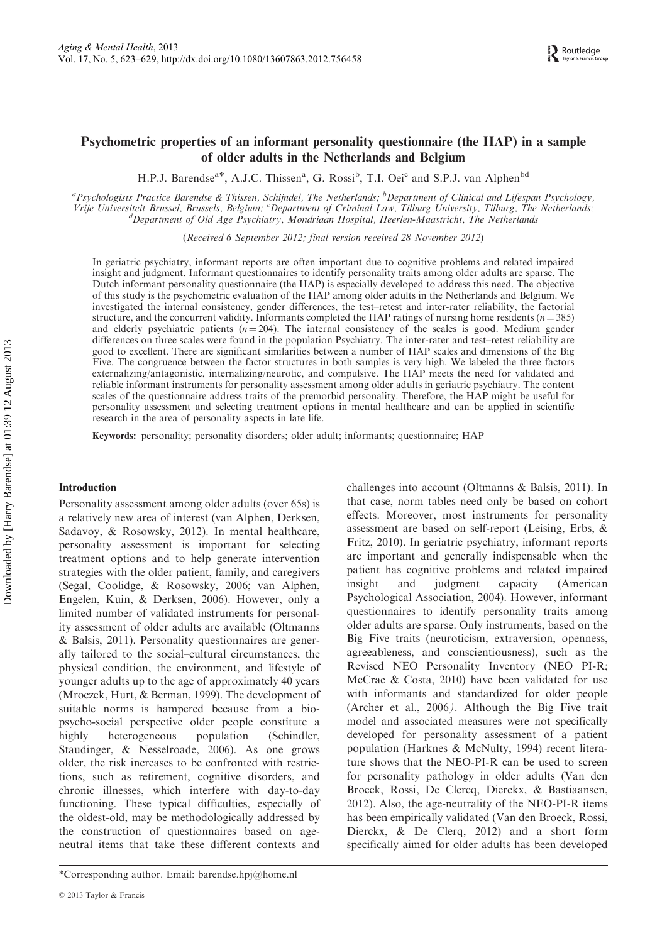## Psychometric properties of an informant personality questionnaire (the HAP) in a sample of older adults in the Netherlands and Belgium

H.P.J. Barendse<sup>a\*</sup>, A.J.C. Thissen<sup>a</sup>, G. Rossi<sup>b</sup>, T.I. Oei<sup>c</sup> and S.P.J. van Alphen<sup>bd</sup>

<sup>a</sup> Psychologists Practice Barendse & Thissen, Schijndel, The Netherlands; <sup>b</sup> Department of Clinical and Lifespan Psychology, Vrije Universiteit Brussel, Brussels, Belgium; <sup>c</sup>Department of Criminal Law, Tilburg University, Tilburg, The Netherlands;<br><sup>d</sup>Department of Old Age Bryshigtry, Mondriggy Hospital, Hegrlen Magstricht, The Natherlands Department of Old Age Psychiatry, Mondriaan Hospital, Heerlen-Maastricht, The Netherlands

(Received 6 September 2012; final version received 28 November 2012)

In geriatric psychiatry, informant reports are often important due to cognitive problems and related impaired insight and judgment. Informant questionnaires to identify personality traits among older adults are sparse. The Dutch informant personality questionnaire (the HAP) is especially developed to address this need. The objective of this study is the psychometric evaluation of the HAP among older adults in the Netherlands and Belgium. We investigated the internal consistency, gender differences, the test–retest and inter-rater reliability, the factorial structure, and the concurrent validity. Informants completed the HAP ratings of nursing home residents ( $n = 385$ ) and elderly psychiatric patients ( $n = 204$ ). The internal consistency of the scales is good. Medium gender differences on three scales were found in the population Psychiatry. The inter-rater and test–retest reliability are good to excellent. There are significant similarities between a number of HAP scales and dimensions of the Big Five. The congruence between the factor structures in both samples is very high. We labeled the three factors externalizing/antagonistic, internalizing/neurotic, and compulsive. The HAP meets the need for validated and reliable informant instruments for personality assessment among older adults in geriatric psychiatry. The content scales of the questionnaire address traits of the premorbid personality. Therefore, the HAP might be useful for personality assessment and selecting treatment options in mental healthcare and can be applied in scientific research in the area of personality aspects in late life.

Keywords: personality; personality disorders; older adult; informants; questionnaire; HAP

## Introduction

Personality assessment among older adults (over 65s) is a relatively new area of interest (van Alphen, Derksen, Sadavoy, & Rosowsky, 2012). In mental healthcare, personality assessment is important for selecting treatment options and to help generate intervention strategies with the older patient, family, and caregivers (Segal, Coolidge, & Rosowsky, 2006; van Alphen, Engelen, Kuin, & Derksen, 2006). However, only a limited number of validated instruments for personality assessment of older adults are available (Oltmanns & Balsis, 2011). Personality questionnaires are generally tailored to the social–cultural circumstances, the physical condition, the environment, and lifestyle of younger adults up to the age of approximately 40 years (Mroczek, Hurt, & Berman, 1999). The development of suitable norms is hampered because from a biopsycho-social perspective older people constitute a highly heterogeneous population (Schindler, Staudinger, & Nesselroade, 2006). As one grows older, the risk increases to be confronted with restrictions, such as retirement, cognitive disorders, and chronic illnesses, which interfere with day-to-day functioning. These typical difficulties, especially of the oldest-old, may be methodologically addressed by the construction of questionnaires based on ageneutral items that take these different contexts and

challenges into account (Oltmanns & Balsis, 2011). In that case, norm tables need only be based on cohort effects. Moreover, most instruments for personality assessment are based on self-report (Leising, Erbs, & Fritz, 2010). In geriatric psychiatry, informant reports are important and generally indispensable when the patient has cognitive problems and related impaired insight and judgment capacity (American Psychological Association, 2004). However, informant questionnaires to identify personality traits among older adults are sparse. Only instruments, based on the Big Five traits (neuroticism, extraversion, openness, agreeableness, and conscientiousness), such as the Revised NEO Personality Inventory (NEO PI-R; McCrae & Costa, 2010) have been validated for use with informants and standardized for older people (Archer et al., 2006). Although the Big Five trait model and associated measures were not specifically developed for personality assessment of a patient population (Harknes & McNulty, 1994) recent literature shows that the NEO-PI-R can be used to screen for personality pathology in older adults (Van den Broeck, Rossi, De Clercq, Dierckx, & Bastiaansen, 2012). Also, the age-neutrality of the NEO-PI-R items has been empirically validated (Van den Broeck, Rossi, Dierckx, & De Clerq, 2012) and a short form specifically aimed for older adults has been developed

<sup>\*</sup>Corresponding author. Email: barendse.hpj@home.nl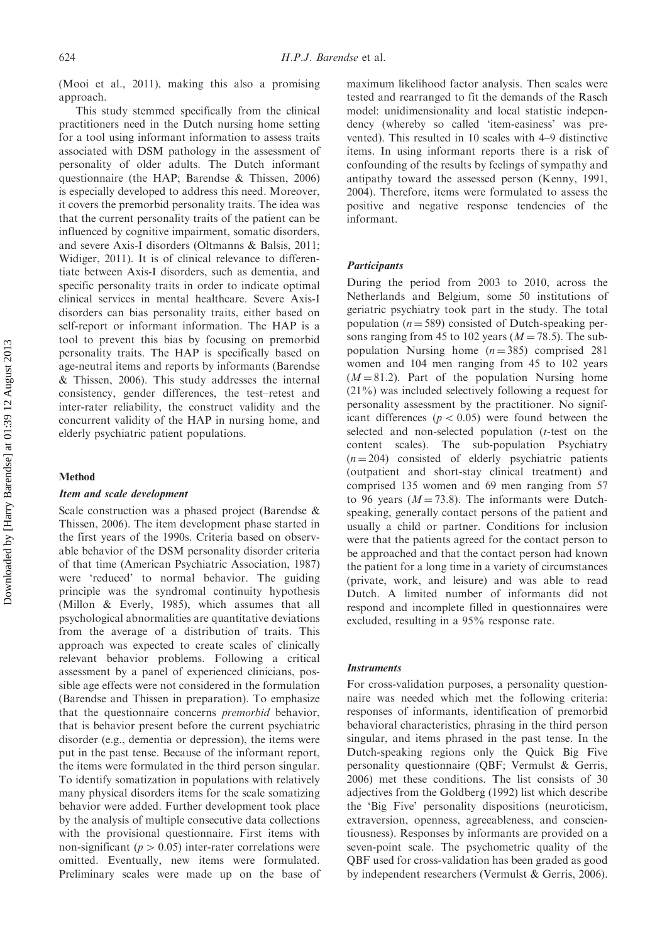(Mooi et al., 2011), making this also a promising approach.

This study stemmed specifically from the clinical practitioners need in the Dutch nursing home setting for a tool using informant information to assess traits associated with DSM pathology in the assessment of personality of older adults. The Dutch informant questionnaire (the HAP; Barendse & Thissen, 2006) is especially developed to address this need. Moreover, it covers the premorbid personality traits. The idea was that the current personality traits of the patient can be influenced by cognitive impairment, somatic disorders, and severe Axis-I disorders (Oltmanns & Balsis, 2011; Widiger, 2011). It is of clinical relevance to differentiate between Axis-I disorders, such as dementia, and specific personality traits in order to indicate optimal clinical services in mental healthcare. Severe Axis-I disorders can bias personality traits, either based on self-report or informant information. The HAP is a tool to prevent this bias by focusing on premorbid personality traits. The HAP is specifically based on age-neutral items and reports by informants (Barendse & Thissen, 2006). This study addresses the internal consistency, gender differences, the test–retest and inter-rater reliability, the construct validity and the concurrent validity of the HAP in nursing home, and elderly psychiatric patient populations.

## Method

### Item and scale development

Scale construction was a phased project (Barendse & Thissen, 2006). The item development phase started in the first years of the 1990s. Criteria based on observable behavior of the DSM personality disorder criteria of that time (American Psychiatric Association, 1987) were 'reduced' to normal behavior. The guiding principle was the syndromal continuity hypothesis (Millon & Everly, 1985), which assumes that all psychological abnormalities are quantitative deviations from the average of a distribution of traits. This approach was expected to create scales of clinically relevant behavior problems. Following a critical assessment by a panel of experienced clinicians, possible age effects were not considered in the formulation (Barendse and Thissen in preparation). To emphasize that the questionnaire concerns premorbid behavior, that is behavior present before the current psychiatric disorder (e.g., dementia or depression), the items were put in the past tense. Because of the informant report, the items were formulated in the third person singular. To identify somatization in populations with relatively many physical disorders items for the scale somatizing behavior were added. Further development took place by the analysis of multiple consecutive data collections with the provisional questionnaire. First items with non-significant ( $p > 0.05$ ) inter-rater correlations were omitted. Eventually, new items were formulated. Preliminary scales were made up on the base of

maximum likelihood factor analysis. Then scales were tested and rearranged to fit the demands of the Rasch model: unidimensionality and local statistic independency (whereby so called 'item-easiness' was prevented). This resulted in 10 scales with 4–9 distinctive items. In using informant reports there is a risk of confounding of the results by feelings of sympathy and antipathy toward the assessed person (Kenny, 1991, 2004). Therefore, items were formulated to assess the positive and negative response tendencies of the informant.

## **Participants**

During the period from 2003 to 2010, across the Netherlands and Belgium, some 50 institutions of geriatric psychiatry took part in the study. The total population ( $n = 589$ ) consisted of Dutch-speaking persons ranging from 45 to 102 years ( $M = 78.5$ ). The subpopulation Nursing home  $(n = 385)$  comprised 281 women and 104 men ranging from 45 to 102 years  $(M = 81.2)$ . Part of the population Nursing home (21%) was included selectively following a request for personality assessment by the practitioner. No significant differences ( $p < 0.05$ ) were found between the selected and non-selected population (*t*-test on the content scales). The sub-population Psychiatry  $(n = 204)$  consisted of elderly psychiatric patients (outpatient and short-stay clinical treatment) and comprised 135 women and 69 men ranging from 57 to 96 years ( $M = 73.8$ ). The informants were Dutchspeaking, generally contact persons of the patient and usually a child or partner. Conditions for inclusion were that the patients agreed for the contact person to be approached and that the contact person had known the patient for a long time in a variety of circumstances (private, work, and leisure) and was able to read Dutch. A limited number of informants did not respond and incomplete filled in questionnaires were excluded, resulting in a 95% response rate.

## **Instruments**

For cross-validation purposes, a personality questionnaire was needed which met the following criteria: responses of informants, identification of premorbid behavioral characteristics, phrasing in the third person singular, and items phrased in the past tense. In the Dutch-speaking regions only the Quick Big Five personality questionnaire (QBF; Vermulst & Gerris, 2006) met these conditions. The list consists of 30 adjectives from the Goldberg (1992) list which describe the 'Big Five' personality dispositions (neuroticism, extraversion, openness, agreeableness, and conscientiousness). Responses by informants are provided on a seven-point scale. The psychometric quality of the QBF used for cross-validation has been graded as good by independent researchers (Vermulst & Gerris, 2006).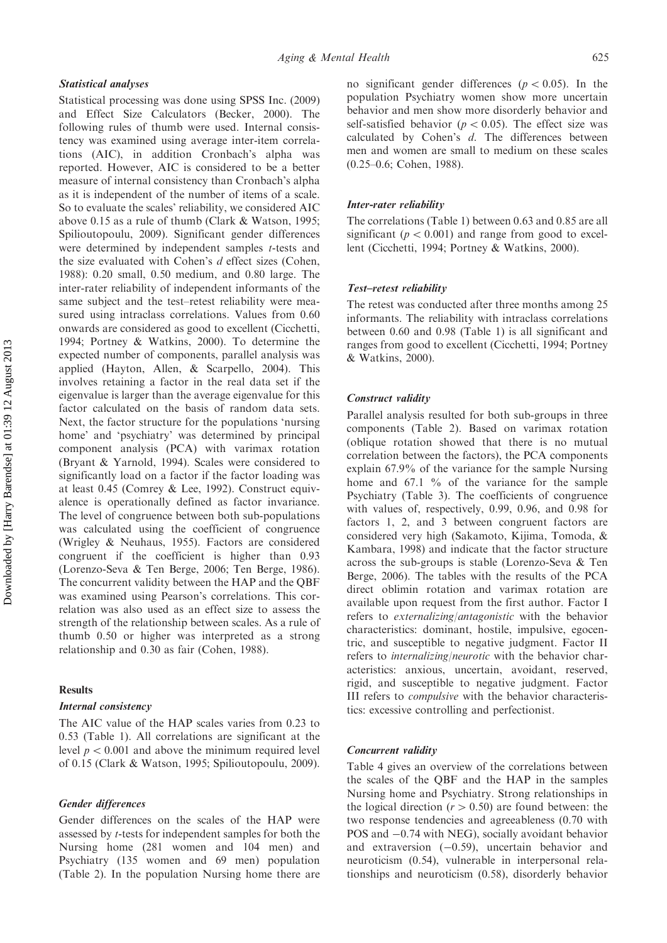## Statistical analyses

Statistical processing was done using SPSS Inc. (2009) and Effect Size Calculators (Becker, 2000). The following rules of thumb were used. Internal consistency was examined using average inter-item correlations (AIC), in addition Cronbach's alpha was reported. However, AIC is considered to be a better measure of internal consistency than Cronbach's alpha as it is independent of the number of items of a scale. So to evaluate the scales' reliability, we considered AIC above 0.15 as a rule of thumb (Clark & Watson, 1995; Spilioutopoulu, 2009). Significant gender differences were determined by independent samples *t*-tests and the size evaluated with Cohen's d effect sizes (Cohen, 1988): 0.20 small, 0.50 medium, and 0.80 large. The inter-rater reliability of independent informants of the same subject and the test–retest reliability were measured using intraclass correlations. Values from 0.60 onwards are considered as good to excellent (Cicchetti, 1994; Portney & Watkins, 2000). To determine the expected number of components, parallel analysis was applied (Hayton, Allen, & Scarpello, 2004). This involves retaining a factor in the real data set if the eigenvalue is larger than the average eigenvalue for this factor calculated on the basis of random data sets. Next, the factor structure for the populations 'nursing home' and 'psychiatry' was determined by principal component analysis (PCA) with varimax rotation (Bryant & Yarnold, 1994). Scales were considered to significantly load on a factor if the factor loading was at least 0.45 (Comrey & Lee, 1992). Construct equivalence is operationally defined as factor invariance. The level of congruence between both sub-populations was calculated using the coefficient of congruence (Wrigley & Neuhaus, 1955). Factors are considered congruent if the coefficient is higher than 0.93 (Lorenzo-Seva & Ten Berge, 2006; Ten Berge, 1986). The concurrent validity between the HAP and the QBF was examined using Pearson's correlations. This correlation was also used as an effect size to assess the strength of the relationship between scales. As a rule of thumb 0.50 or higher was interpreted as a strong relationship and 0.30 as fair (Cohen, 1988).

## Results

## Internal consistency

The AIC value of the HAP scales varies from 0.23 to 0.53 (Table 1). All correlations are significant at the level  $p < 0.001$  and above the minimum required level of 0.15 (Clark & Watson, 1995; Spilioutopoulu, 2009).

## Gender differences

Gender differences on the scales of the HAP were assessed by t-tests for independent samples for both the Nursing home (281 women and 104 men) and Psychiatry (135 women and 69 men) population (Table 2). In the population Nursing home there are no significant gender differences ( $p < 0.05$ ). In the population Psychiatry women show more uncertain behavior and men show more disorderly behavior and self-satisfied behavior ( $p < 0.05$ ). The effect size was calculated by Cohen's d. The differences between men and women are small to medium on these scales (0.25–0.6; Cohen, 1988).

## Inter-rater reliability

The correlations (Table 1) between 0.63 and 0.85 are all significant ( $p < 0.001$ ) and range from good to excellent (Cicchetti, 1994; Portney & Watkins, 2000).

#### Test–retest reliability

The retest was conducted after three months among 25 informants. The reliability with intraclass correlations between 0.60 and 0.98 (Table 1) is all significant and ranges from good to excellent (Cicchetti, 1994; Portney & Watkins, 2000).

## Construct validity

Parallel analysis resulted for both sub-groups in three components (Table 2). Based on varimax rotation (oblique rotation showed that there is no mutual correlation between the factors), the PCA components explain 67.9% of the variance for the sample Nursing home and 67.1 % of the variance for the sample Psychiatry (Table 3). The coefficients of congruence with values of, respectively, 0.99, 0.96, and 0.98 for factors 1, 2, and 3 between congruent factors are considered very high (Sakamoto, Kijima, Tomoda, & Kambara, 1998) and indicate that the factor structure across the sub-groups is stable (Lorenzo-Seva & Ten Berge, 2006). The tables with the results of the PCA direct oblimin rotation and varimax rotation are available upon request from the first author. Factor I refers to externalizing/antagonistic with the behavior characteristics: dominant, hostile, impulsive, egocentric, and susceptible to negative judgment. Factor II refers to internalizing/neurotic with the behavior characteristics: anxious, uncertain, avoidant, reserved, rigid, and susceptible to negative judgment. Factor III refers to compulsive with the behavior characteristics: excessive controlling and perfectionist.

#### Concurrent validity

Table 4 gives an overview of the correlations between the scales of the QBF and the HAP in the samples Nursing home and Psychiatry. Strong relationships in the logical direction  $(r > 0.50)$  are found between: the two response tendencies and agreeableness (0.70 with POS and  $-0.74$  with NEG), socially avoidant behavior and extraversion  $(-0.59)$ , uncertain behavior and neuroticism (0.54), vulnerable in interpersonal relationships and neuroticism (0.58), disorderly behavior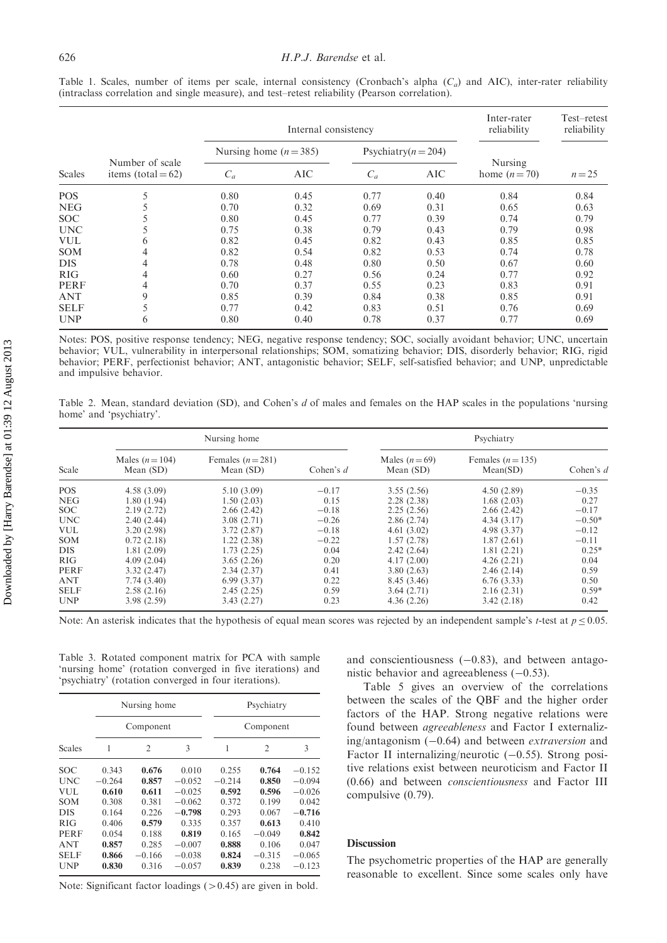|             | Number of scale<br>items (total $= 62$ ) |                        | Internal consistency |                         |            |                          | Test-retest<br>reliability |
|-------------|------------------------------------------|------------------------|----------------------|-------------------------|------------|--------------------------|----------------------------|
| Scales      |                                          | Nursing home $(n=385)$ |                      | Psychiatry( $n = 204$ ) |            |                          |                            |
|             |                                          | $C_a$                  | <b>AIC</b>           | $C_a$                   | <b>AIC</b> | Nursing<br>home $(n=70)$ | $n = 25$                   |
| <b>POS</b>  |                                          | 0.80                   | 0.45                 | 0.77                    | 0.40       | 0.84                     | 0.84                       |
| <b>NEG</b>  |                                          | 0.70                   | 0.32                 | 0.69                    | 0.31       | 0.65                     | 0.63                       |
| <b>SOC</b>  |                                          | 0.80                   | 0.45                 | 0.77                    | 0.39       | 0.74                     | 0.79                       |
| <b>UNC</b>  |                                          | 0.75                   | 0.38                 | 0.79                    | 0.43       | 0.79                     | 0.98                       |
| <b>VUL</b>  | 6                                        | 0.82                   | 0.45                 | 0.82                    | 0.43       | 0.85                     | 0.85                       |
| <b>SOM</b>  | 4                                        | 0.82                   | 0.54                 | 0.82                    | 0.53       | 0.74                     | 0.78                       |
| <b>DIS</b>  | 4                                        | 0.78                   | 0.48                 | 0.80                    | 0.50       | 0.67                     | 0.60                       |
| <b>RIG</b>  | 4                                        | 0.60                   | 0.27                 | 0.56                    | 0.24       | 0.77                     | 0.92                       |
| <b>PERF</b> | 4                                        | 0.70                   | 0.37                 | 0.55                    | 0.23       | 0.83                     | 0.91                       |
| <b>ANT</b>  | 9                                        | 0.85                   | 0.39                 | 0.84                    | 0.38       | 0.85                     | 0.91                       |
| <b>SELF</b> | 5                                        | 0.77                   | 0.42                 | 0.83                    | 0.51       | 0.76                     | 0.69                       |
| <b>UNP</b>  | 6                                        | 0.80                   | 0.40                 | 0.78                    | 0.37       | 0.77                     | 0.69                       |

Table 1. Scales, number of items per scale, internal consistency (Cronbach's alpha  $(C_a)$  and AIC), inter-rater reliability (intraclass correlation and single measure), and test–retest reliability (Pearson correlation).

Notes: POS, positive response tendency; NEG, negative response tendency; SOC, socially avoidant behavior; UNC, uncertain behavior; VUL, vulnerability in interpersonal relationships; SOM, somatizing behavior; DIS, disorderly behavior; RIG, rigid behavior; PERF, perfectionist behavior; ANT, antagonistic behavior; SELF, self-satisfied behavior; and UNP, unpredictable and impulsive behavior.

Table 2. Mean, standard deviation (SD), and Cohen's d of males and females on the HAP scales in the populations 'nursing home' and 'psychiatry'.

| Scale            | Nursing home                 |                                |             | Psychiatry                  |                               |           |
|------------------|------------------------------|--------------------------------|-------------|-----------------------------|-------------------------------|-----------|
|                  | Males $(n=104)$<br>Mean (SD) | Females $(n=281)$<br>Mean (SD) | Cohen's $d$ | Males $(n=69)$<br>Mean (SD) | Females $(n=135)$<br>Mean(SD) | Cohen's d |
| <b>POS</b>       | 4.58(3.09)                   | 5.10(3.09)                     | $-0.17$     | 3.55(2.56)                  | 4.50(2.89)                    | $-0.35$   |
| <b>NEG</b>       | 1.80(1.94)                   | 1.50(2.03)                     | 0.15        | 2.28(2.38)                  | 1.68(2.03)                    | 0.27      |
| SOC <sup>.</sup> | 2.19(2.72)                   | 2.66(2.42)                     | $-0.18$     | 2.25(2.56)                  | 2.66(2.42)                    | $-0.17$   |
| <b>UNC</b>       | 2.40(2.44)                   | 3.08(2.71)                     | $-0.26$     | 2.86(2.74)                  | 4.34(3.17)                    | $-0.50*$  |
| <b>VUL</b>       | 3.20(2.98)                   | 3.72(2.87)                     | $-0.18$     | 4.61(3.02)                  | 4.98(3.37)                    | $-0.12$   |
| <b>SOM</b>       | 0.72(2.18)                   | 1.22(2.38)                     | $-0.22$     | 1.57(2.78)                  | 1.87(2.61)                    | $-0.11$   |
| DIS.             | 1.81(2.09)                   | 1.73(2.25)                     | 0.04        | 2.42(2.64)                  | 1.81(2.21)                    | $0.25*$   |
| RIG              | 4.09(2.04)                   | 3.65(2.26)                     | 0.20        | 4.17(2.00)                  | 4.26(2.21)                    | 0.04      |
| <b>PERF</b>      | 3.32(2.47)                   | 2.34(2.37)                     | 0.41        | 3.80(2.63)                  | 2.46(2.14)                    | 0.59      |
| <b>ANT</b>       | 7.74(3.40)                   | 6.99(3.37)                     | 0.22        | 8.45 (3.46)                 | 6.76(3.33)                    | 0.50      |
| <b>SELF</b>      | 2.58(2.16)                   | 2.45(2.25)                     | 0.59        | 3.64(2.71)                  | 2.16(2.31)                    | $0.59*$   |
| <b>UNP</b>       | 3.98(2.59)                   | 3.43(2.27)                     | 0.23        | 4.36(2.26)                  | 3.42(2.18)                    | 0.42      |

Note: An asterisk indicates that the hypothesis of equal mean scores was rejected by an independent sample's *t*-test at  $p < 0.05$ .

Table 3. Rotated component matrix for PCA with sample 'nursing home' (rotation converged in five iterations) and 'psychiatry' (rotation converged in four iterations).

|               |           | Nursing home   |          |           | Psychiatry     |          |
|---------------|-----------|----------------|----------|-----------|----------------|----------|
|               | Component |                |          | Component |                |          |
| <b>Scales</b> | 1         | $\mathfrak{D}$ | 3        | 1         | $\overline{2}$ | 3        |
| SOC           | 0.343     | 0.676          | 0.010    | 0.255     | 0.764          | $-0.152$ |
| UNC           | $-0.264$  | 0.857          | $-0.052$ | $-0.214$  | 0.850          | $-0.094$ |
| VUL.          | 0.610     | 0.611          | $-0.025$ | 0.592     | 0.596          | $-0.026$ |
| SOM           | 0.308     | 0.381          | $-0.062$ | 0.372     | 0.199          | 0.042    |
| <b>DIS</b>    | 0.164     | 0.226          | $-0.798$ | 0.293     | 0.067          | $-0.716$ |
| <b>RIG</b>    | 0.406     | 0.579          | 0.335    | 0.357     | 0.613          | 0.410    |
| PERF          | 0.054     | 0.188          | 0.819    | 0.165     | $-0.049$       | 0.842    |
| <b>ANT</b>    | 0.857     | 0.285          | $-0.007$ | 0.888     | 0.106          | 0.047    |
| SEL F         | 0.866     | $-0.166$       | $-0.038$ | 0.824     | $-0.315$       | $-0.065$ |
| UNP           | 0.830     | 0.316          | $-0.057$ | 0.839     | 0.238          | $-0.123$ |

Note: Significant factor loadings  $(>0.45)$  are given in bold.

and conscientiousness  $(-0.83)$ , and between antagonistic behavior and agreeableness  $(-0.53)$ .

Table 5 gives an overview of the correlations between the scales of the QBF and the higher order factors of the HAP. Strong negative relations were found between agreeableness and Factor I externalizing/antagonism  $(-0.64)$  and between *extraversion* and Factor II internalizing/neurotic  $(-0.55)$ . Strong positive relations exist between neuroticism and Factor II (0.66) and between conscientiousness and Factor III compulsive (0.79).

## **Discussion**

The psychometric properties of the HAP are generally reasonable to excellent. Since some scales only have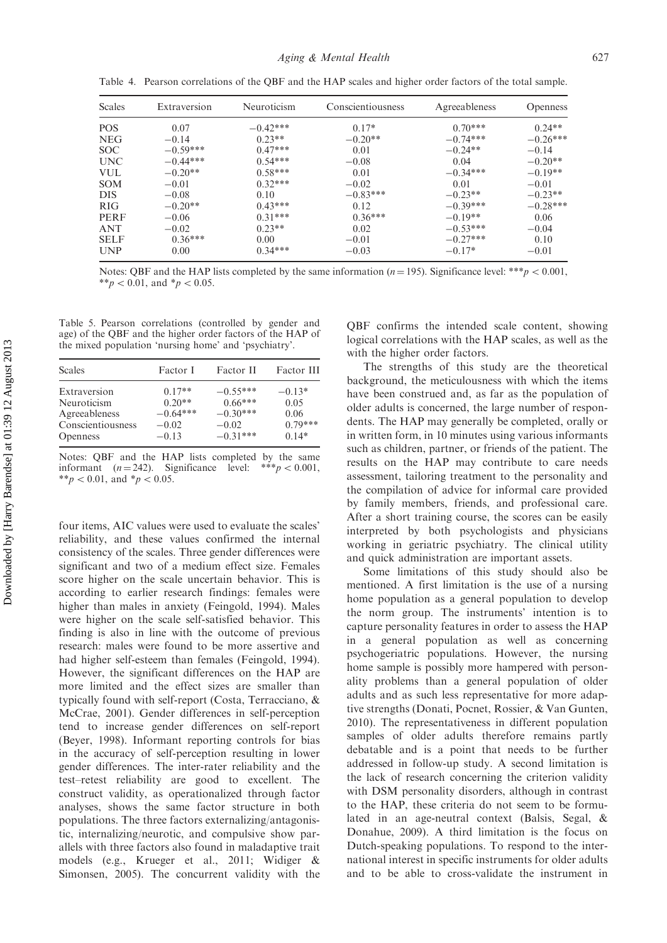| <b>Scales</b>   | Extraversion | Neuroticism | Conscientiousness | Agreeableness | <b>Openness</b> |
|-----------------|--------------|-------------|-------------------|---------------|-----------------|
| <b>POS</b>      | 0.07         | $-0.42***$  | $0.17*$           | $0.70***$     | $0.24**$        |
| <b>NEG</b>      | $-0.14$      | $0.23**$    | $-0.20**$         | $-0.74***$    | $-0.26***$      |
| SOC.            | $-0.59***$   | $0.47***$   | 0.01              | $-0.24**$     | $-0.14$         |
| <b>UNC</b>      | $-0.44***$   | $0.54***$   | $-0.08$           | 0.04          | $-0.20**$       |
| <b>VUL</b>      | $-0.20**$    | $0.58***$   | 0.01              | $-0.34***$    | $-0.19**$       |
| <b>SOM</b>      | $-0.01$      | $0.32***$   | $-0.02$           | 0.01          | $-0.01$         |
| <b>DIS</b>      | $-0.08$      | 0.10        | $-0.83***$        | $-0.23**$     | $-0.23**$       |
| R <sub>IG</sub> | $-0.20**$    | $0.43***$   | 0.12              | $-0.39***$    | $-0.28***$      |
| PERF            | $-0.06$      | $0.31***$   | $0.36***$         | $-0.19**$     | 0.06            |
| <b>ANT</b>      | $-0.02$      | $0.23**$    | 0.02              | $-0.53***$    | $-0.04$         |
| <b>SELF</b>     | $0.36***$    | 0.00        | $-0.01$           | $-0.27***$    | 0.10            |
| <b>UNP</b>      | 0.00         | $0.34***$   | $-0.03$           | $-0.17*$      | $-0.01$         |

Table 4. Pearson correlations of the QBF and the HAP scales and higher order factors of the total sample.

Notes: QBF and the HAP lists completed by the same information ( $n = 195$ ). Significance level: \*\*\*p < 0.001, \*\*p < 0.01, and \*p < 0.05.

Table 5. Pearson correlations (controlled by gender and age) of the QBF and the higher order factors of the HAP of the mixed population 'nursing home' and 'psychiatry'.

| Scales            | Factor I   | Factor II  | Factor III |
|-------------------|------------|------------|------------|
| Extraversion      | $0.17**$   | $-0.55***$ | $-0.13*$   |
| Neuroticism       | $0.20**$   | $0.66***$  | 0.05       |
| Agreeableness     | $-0.64***$ | $-0.30***$ | 0.06       |
| Conscientiousness | $-0.02$    | $-0.02$    | $0.79***$  |
| <b>Openness</b>   | $-0.13$    | $-0.31***$ | $0.14*$    |

Notes: QBF and the HAP lists completed by the same informant  $(n = 242)$ . Significance level: \*\*\*p < 0.001, \*\*p < 0.01, and \*p < 0.05.

four items, AIC values were used to evaluate the scales' reliability, and these values confirmed the internal consistency of the scales. Three gender differences were significant and two of a medium effect size. Females score higher on the scale uncertain behavior. This is according to earlier research findings: females were higher than males in anxiety (Feingold, 1994). Males were higher on the scale self-satisfied behavior. This finding is also in line with the outcome of previous research: males were found to be more assertive and had higher self-esteem than females (Feingold, 1994). However, the significant differences on the HAP are more limited and the effect sizes are smaller than typically found with self-report (Costa, Terracciano, & McCrae, 2001). Gender differences in self-perception tend to increase gender differences on self-report (Beyer, 1998). Informant reporting controls for bias in the accuracy of self-perception resulting in lower gender differences. The inter-rater reliability and the test–retest reliability are good to excellent. The construct validity, as operationalized through factor analyses, shows the same factor structure in both populations. The three factors externalizing/antagonistic, internalizing/neurotic, and compulsive show parallels with three factors also found in maladaptive trait models (e.g., Krueger et al., 2011; Widiger & Simonsen, 2005). The concurrent validity with the

QBF confirms the intended scale content, showing logical correlations with the HAP scales, as well as the with the higher order factors.

The strengths of this study are the theoretical background, the meticulousness with which the items have been construed and, as far as the population of older adults is concerned, the large number of respondents. The HAP may generally be completed, orally or in written form, in 10 minutes using various informants such as children, partner, or friends of the patient. The results on the HAP may contribute to care needs assessment, tailoring treatment to the personality and the compilation of advice for informal care provided by family members, friends, and professional care. After a short training course, the scores can be easily interpreted by both psychologists and physicians working in geriatric psychiatry. The clinical utility and quick administration are important assets.

Some limitations of this study should also be mentioned. A first limitation is the use of a nursing home population as a general population to develop the norm group. The instruments' intention is to capture personality features in order to assess the HAP in a general population as well as concerning psychogeriatric populations. However, the nursing home sample is possibly more hampered with personality problems than a general population of older adults and as such less representative for more adaptive strengths (Donati, Pocnet, Rossier, & Van Gunten, 2010). The representativeness in different population samples of older adults therefore remains partly debatable and is a point that needs to be further addressed in follow-up study. A second limitation is the lack of research concerning the criterion validity with DSM personality disorders, although in contrast to the HAP, these criteria do not seem to be formulated in an age-neutral context (Balsis, Segal, & Donahue, 2009). A third limitation is the focus on Dutch-speaking populations. To respond to the international interest in specific instruments for older adults and to be able to cross-validate the instrument in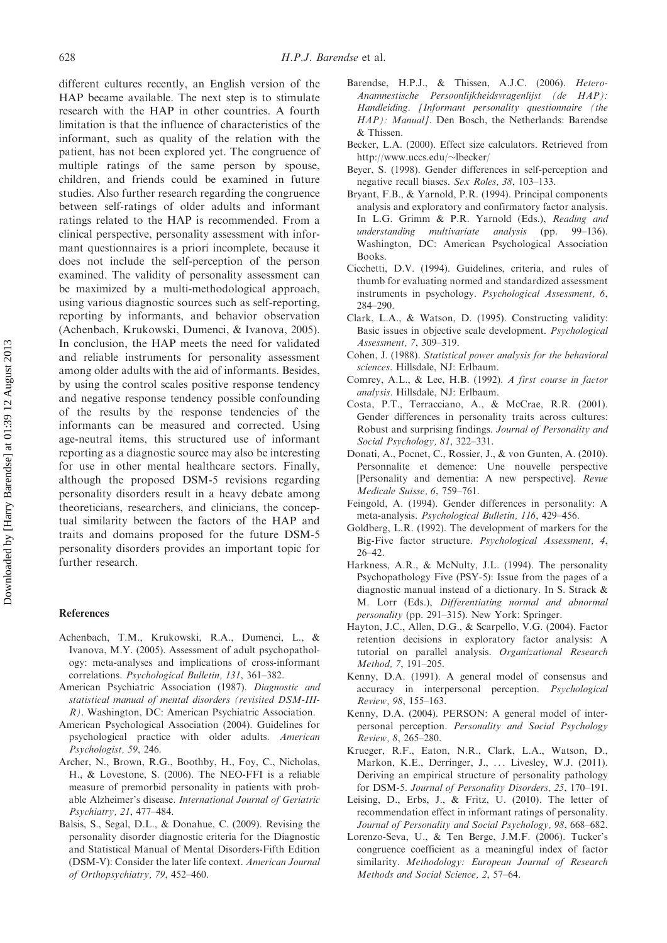different cultures recently, an English version of the HAP became available. The next step is to stimulate research with the HAP in other countries. A fourth limitation is that the influence of characteristics of the informant, such as quality of the relation with the patient, has not been explored yet. The congruence of multiple ratings of the same person by spouse, children, and friends could be examined in future studies. Also further research regarding the congruence between self-ratings of older adults and informant ratings related to the HAP is recommended. From a clinical perspective, personality assessment with informant questionnaires is a priori incomplete, because it does not include the self-perception of the person examined. The validity of personality assessment can be maximized by a multi-methodological approach, using various diagnostic sources such as self-reporting, reporting by informants, and behavior observation (Achenbach, Krukowski, Dumenci, & Ivanova, 2005). In conclusion, the HAP meets the need for validated and reliable instruments for personality assessment among older adults with the aid of informants. Besides, by using the control scales positive response tendency and negative response tendency possible confounding of the results by the response tendencies of the informants can be measured and corrected. Using age-neutral items, this structured use of informant reporting as a diagnostic source may also be interesting for use in other mental healthcare sectors. Finally, although the proposed DSM-5 revisions regarding personality disorders result in a heavy debate among theoreticians, researchers, and clinicians, the conceptual similarity between the factors of the HAP and traits and domains proposed for the future DSM-5 personality disorders provides an important topic for further research.

### References

- Achenbach, T.M., Krukowski, R.A., Dumenci, L., & Ivanova, M.Y. (2005). Assessment of adult psychopathology: meta-analyses and implications of cross-informant correlations. Psychological Bulletin, 131, 361–382.
- American Psychiatric Association (1987). Diagnostic and statistical manual of mental disorders (revisited DSM-III-R). Washington, DC: American Psychiatric Association.
- American Psychological Association (2004). Guidelines for psychological practice with older adults. American Psychologist, 59, 246.
- Archer, N., Brown, R.G., Boothby, H., Foy, C., Nicholas, H., & Lovestone, S. (2006). The NEO-FFI is a reliable measure of premorbid personality in patients with probable Alzheimer's disease. International Journal of Geriatric Psychiatry, 21, 477–484.
- Balsis, S., Segal, D.L., & Donahue, C. (2009). Revising the personality disorder diagnostic criteria for the Diagnostic and Statistical Manual of Mental Disorders-Fifth Edition (DSM-V): Consider the later life context. American Journal of Orthopsychiatry, 79, 452–460.
- Barendse, H.P.J., & Thissen, A.J.C. (2006). Hetero-Anamnestische Persoonlijkheidsvragenlijst (de HAP): Handleiding. [Informant personality questionnaire (the HAP): Manuall. Den Bosch, the Netherlands: Barendse & Thissen.
- Becker, L.A. (2000). Effect size calculators. Retrieved from http://www.uccs.edu/~lbecker/
- Beyer, S. (1998). Gender differences in self-perception and negative recall biases. Sex Roles, 38, 103–133.
- Bryant, F.B., & Yarnold, P.R. (1994). Principal components analysis and exploratory and confirmatory factor analysis. In L.G. Grimm & P.R. Yarnold (Eds.), Reading and understanding multivariate analysis (pp. 99–136). Washington, DC: American Psychological Association Books.
- Cicchetti, D.V. (1994). Guidelines, criteria, and rules of thumb for evaluating normed and standardized assessment instruments in psychology. Psychological Assessment, 6, 284–290.
- Clark, L.A., & Watson, D. (1995). Constructing validity: Basic issues in objective scale development. Psychological Assessment, 7, 309–319.
- Cohen, J. (1988). Statistical power analysis for the behavioral sciences. Hillsdale, NJ: Erlbaum.
- Comrey, A.L., & Lee, H.B. (1992). A first course in factor analysis. Hillsdale, NJ: Erlbaum.
- Costa, P.T., Terracciano, A., & McCrae, R.R. (2001). Gender differences in personality traits across cultures: Robust and surprising findings. Journal of Personality and Social Psychology, 81, 322–331.
- Donati, A., Pocnet, C., Rossier, J., & von Gunten, A. (2010). Personnalite et demence: Une nouvelle perspective [Personality and dementia: A new perspective]. Revue Medicale Suisse, 6, 759–761.
- Feingold, A. (1994). Gender differences in personality: A meta-analysis. Psychological Bulletin, 116, 429–456.
- Goldberg, L.R. (1992). The development of markers for the Big-Five factor structure. Psychological Assessment, 4, 26–42.
- Harkness, A.R., & McNulty, J.L. (1994). The personality Psychopathology Five (PSY-5): Issue from the pages of a diagnostic manual instead of a dictionary. In S. Strack & M. Lorr (Eds.), Differentiating normal and abnormal personality (pp. 291–315). New York: Springer.
- Hayton, J.C., Allen, D.G., & Scarpello, V.G. (2004). Factor retention decisions in exploratory factor analysis: A tutorial on parallel analysis. Organizational Research Method, 7, 191–205.
- Kenny, D.A. (1991). A general model of consensus and accuracy in interpersonal perception. Psychological Review, 98, 155–163.
- Kenny, D.A. (2004). PERSON: A general model of interpersonal perception. Personality and Social Psychology Review, 8, 265–280.
- Krueger, R.F., Eaton, N.R., Clark, L.A., Watson, D., Markon, K.E., Derringer, J., ... Livesley, W.J. (2011). Deriving an empirical structure of personality pathology for DSM-5. Journal of Personality Disorders, 25, 170–191.
- Leising, D., Erbs, J., & Fritz, U. (2010). The letter of recommendation effect in informant ratings of personality. Journal of Personality and Social Psychology, 98, 668–682.
- Lorenzo-Seva, U., & Ten Berge, J.M.F. (2006). Tucker's congruence coefficient as a meaningful index of factor similarity. Methodology: European Journal of Research Methods and Social Science, 2, 57–64.